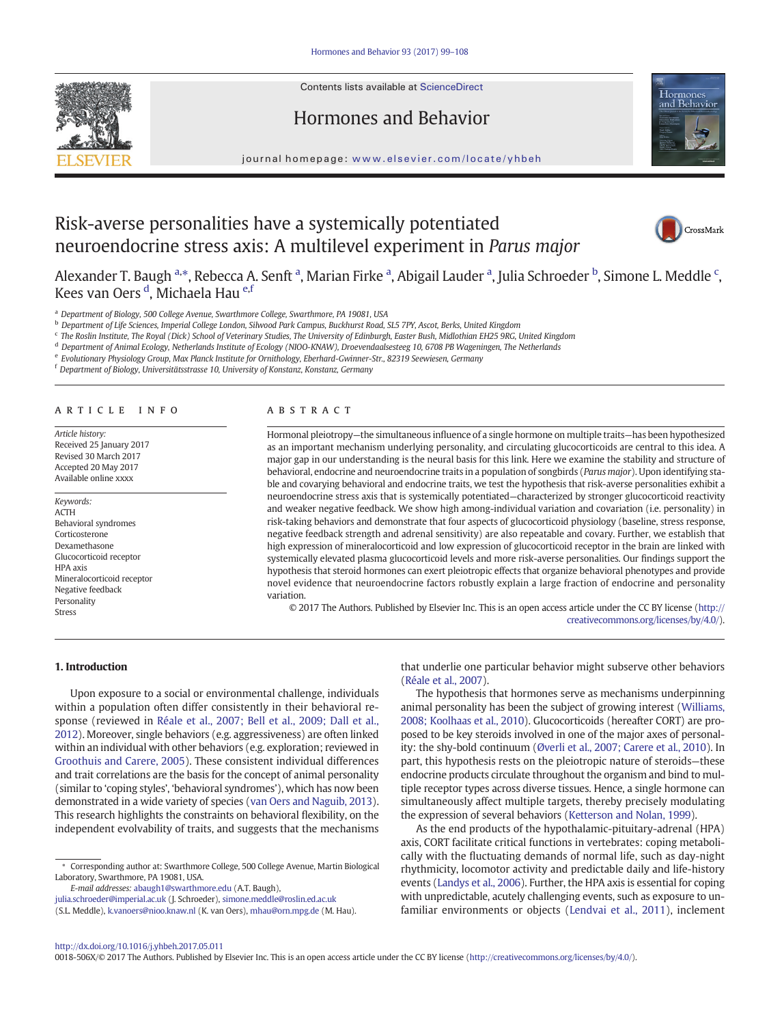Contents lists available at ScienceDirect







journal homepage: <www.elsevier.com/locate/yhbeh>

# Risk-averse personalities have a systemically potentiated neuroendocrine stress axis: A multilevel experiment in Parus major



Alexander T. Baugh <sup>a,</sup>\*, Rebecca A. Senft <sup>a</sup>, Marian Firke <sup>a</sup>, Abigail Lauder <sup>a</sup>, Julia Schroeder <sup>b</sup>, Simone L. Meddle <sup>c</sup>, Kees van Oers <sup>d</sup>, Michaela Hau <sup>e,f</sup>

<sup>a</sup> Department of Biology, 500 College Avenue, Swarthmore College, Swarthmore, PA 19081, USA

**b Department of Life Sciences, Imperial College London, Silwood Park Campus, Buckhurst Road, SL5 7PY, Ascot, Berks, United Kingdom** 

<sup>c</sup> The Roslin Institute, The Royal (Dick) School of Veterinary Studies, The University of Edinburgh, Easter Bush, Midlothian EH25 9RG, United Kingdom

<sup>d</sup> Department of Animal Ecology, Netherlands Institute of Ecology (NIOO-KNAW), Droevendaalsesteeg 10, 6708 PB Wageningen, The Netherlands

<sup>e</sup> Evolutionary Physiology Group, Max Planck Institute for Ornithology, Eberhard-Gwinner-Str., 82319 Seewiesen, Germany

<sup>f</sup> Department of Biology, Universitätsstrasse 10, University of Konstanz, Konstanz, Germany

### article info abstract

Article history: Received 25 January 2017 Revised 30 March 2017 Accepted 20 May 2017 Available online xxxx

Keywords: ACTH Behavioral syndromes Corticosterone Dexamethasone Glucocorticoid receptor HPA axis Mineralocorticoid receptor Negative feedback Personality Stress

Hormonal pleiotropy—the simultaneous influence of a single hormone on multiple traits—has been hypothesized as an important mechanism underlying personality, and circulating glucocorticoids are central to this idea. A major gap in our understanding is the neural basis for this link. Here we examine the stability and structure of behavioral, endocrine and neuroendocrine traits in a population of songbirds (Parus major). Upon identifying stable and covarying behavioral and endocrine traits, we test the hypothesis that risk-averse personalities exhibit a neuroendocrine stress axis that is systemically potentiated—characterized by stronger glucocorticoid reactivity and weaker negative feedback. We show high among-individual variation and covariation (i.e. personality) in risk-taking behaviors and demonstrate that four aspects of glucocorticoid physiology (baseline, stress response, negative feedback strength and adrenal sensitivity) are also repeatable and covary. Further, we establish that high expression of mineralocorticoid and low expression of glucocorticoid receptor in the brain are linked with systemically elevated plasma glucocorticoid levels and more risk-averse personalities. Our findings support the hypothesis that steroid hormones can exert pleiotropic effects that organize behavioral phenotypes and provide novel evidence that neuroendocrine factors robustly explain a large fraction of endocrine and personality variation.

© 2017 The Authors. Published by Elsevier Inc. This is an open access article under the CC BY license [\(http://](http://creativecommons.org/licenses/by/4.0/) [creativecommons.org/licenses/by/4.0/\)](http://creativecommons.org/licenses/by/4.0/).

# 1. Introduction

Upon exposure to a social or environmental challenge, individuals within a population often differ consistently in their behavioral response (reviewed in [Réale et al., 2007; Bell et al., 2009; Dall et al.,](#page-9-0) [2012](#page-9-0)). Moreover, single behaviors (e.g. aggressiveness) are often linked within an individual with other behaviors (e.g. exploration; reviewed in [Groothuis and Carere, 2005](#page-8-0)). These consistent individual differences and trait correlations are the basis for the concept of animal personality (similar to 'coping styles', 'behavioral syndromes'), which has now been demonstrated in a wide variety of species [\(van Oers and Naguib, 2013](#page-9-0)). This research highlights the constraints on behavioral flexibility, on the independent evolvability of traits, and suggests that the mechanisms

E-mail addresses: abaugh1@swarthmore.edu (A.T. Baugh),

that underlie one particular behavior might subserve other behaviors [\(Réale et al., 2007\)](#page-9-0).

The hypothesis that hormones serve as mechanisms underpinning animal personality has been the subject of growing interest [\(Williams,](#page-9-0) [2008; Koolhaas et al., 2010\)](#page-9-0). Glucocorticoids (hereafter CORT) are proposed to be key steroids involved in one of the major axes of personality: the shy-bold continuum [\(Øverli et al., 2007; Carere et al., 2010](#page-9-0)). In part, this hypothesis rests on the pleiotropic nature of steroids—these endocrine products circulate throughout the organism and bind to multiple receptor types across diverse tissues. Hence, a single hormone can simultaneously affect multiple targets, thereby precisely modulating the expression of several behaviors ([Ketterson and Nolan, 1999](#page-8-0)).

As the end products of the hypothalamic-pituitary-adrenal (HPA) axis, CORT facilitate critical functions in vertebrates: coping metabolically with the fluctuating demands of normal life, such as day-night rhythmicity, locomotor activity and predictable daily and life-history events ([Landys et al., 2006](#page-8-0)). Further, the HPA axis is essential for coping with unpredictable, acutely challenging events, such as exposure to unfamiliar environments or objects [\(Lendvai et al., 2011\)](#page-8-0), inclement

0018-506X/© 2017 The Authors. Published by Elsevier Inc. This is an open access article under the CC BY license (<http://creativecommons.org/licenses/by/4.0/>).

<sup>⁎</sup> Corresponding author at: Swarthmore College, 500 College Avenue, Martin Biological Laboratory, Swarthmore, PA 19081, USA.

julia.schroeder@imperial.ac.uk (J. Schroeder), simone.meddle@roslin.ed.ac.uk

<sup>(</sup>S.L. Meddle), k.vanoers@nioo.knaw.nl (K. van Oers), [mhau@orn.mpg.de](mailto:mhau@orn.mpg.de) (M. Hau).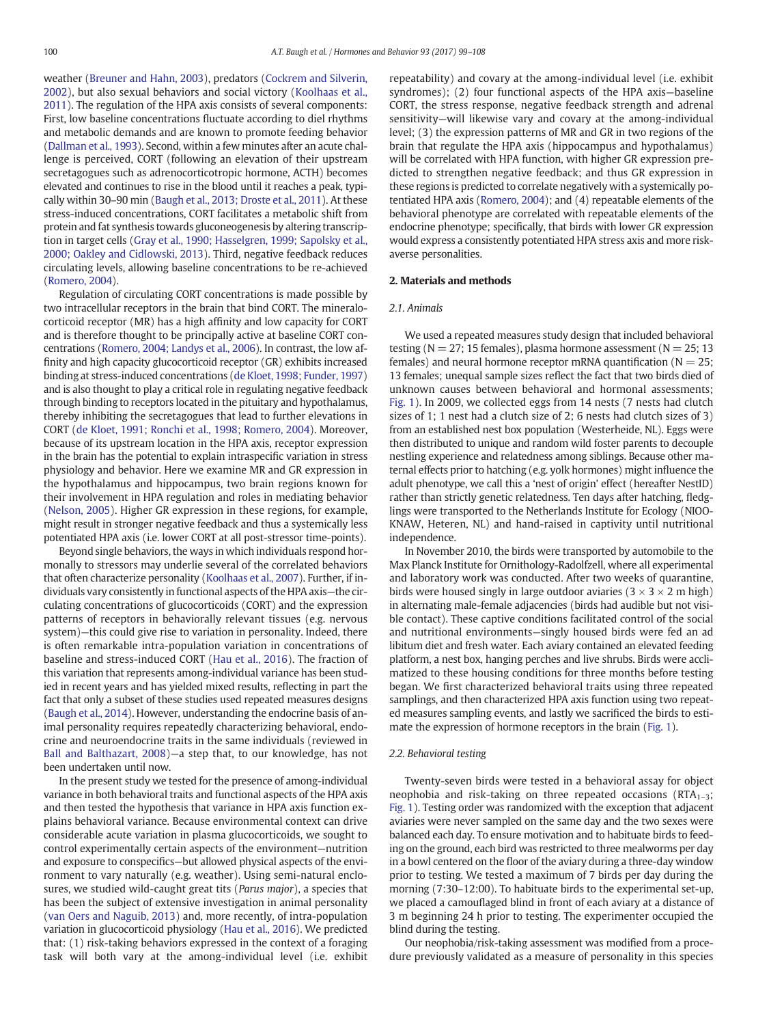weather [\(Breuner and Hahn, 2003\)](#page-8-0), predators ([Cockrem and Silverin,](#page-8-0) [2002](#page-8-0)), but also sexual behaviors and social victory ([Koolhaas et al.,](#page-8-0) [2011\)](#page-8-0). The regulation of the HPA axis consists of several components: First, low baseline concentrations fluctuate according to diel rhythms and metabolic demands and are known to promote feeding behavior [\(Dallman et al., 1993](#page-8-0)). Second, within a few minutes after an acute challenge is perceived, CORT (following an elevation of their upstream secretagogues such as adrenocorticotropic hormone, ACTH) becomes elevated and continues to rise in the blood until it reaches a peak, typically within 30–90 min [\(Baugh et al., 2013; Droste et al., 2011](#page-8-0)). At these stress-induced concentrations, CORT facilitates a metabolic shift from protein and fat synthesis towards gluconeogenesis by altering transcription in target cells ([Gray et al., 1990; Hasselgren, 1999; Sapolsky et al.,](#page-8-0) [2000; Oakley and Cidlowski, 2013\)](#page-8-0). Third, negative feedback reduces circulating levels, allowing baseline concentrations to be re-achieved [\(Romero, 2004\)](#page-9-0).

Regulation of circulating CORT concentrations is made possible by two intracellular receptors in the brain that bind CORT. The mineralocorticoid receptor (MR) has a high affinity and low capacity for CORT and is therefore thought to be principally active at baseline CORT concentrations [\(Romero, 2004; Landys et al., 2006\)](#page-9-0). In contrast, the low affinity and high capacity glucocorticoid receptor (GR) exhibits increased binding at stress-induced concentrations [\(de Kloet, 1998; Funder, 1997](#page-8-0)) and is also thought to play a critical role in regulating negative feedback through binding to receptors located in the pituitary and hypothalamus, thereby inhibiting the secretagogues that lead to further elevations in CORT [\(de Kloet, 1991; Ronchi et al., 1998; Romero, 2004\)](#page-8-0). Moreover, because of its upstream location in the HPA axis, receptor expression in the brain has the potential to explain intraspecific variation in stress physiology and behavior. Here we examine MR and GR expression in the hypothalamus and hippocampus, two brain regions known for their involvement in HPA regulation and roles in mediating behavior [\(Nelson, 2005](#page-8-0)). Higher GR expression in these regions, for example, might result in stronger negative feedback and thus a systemically less potentiated HPA axis (i.e. lower CORT at all post-stressor time-points).

Beyond single behaviors, the ways in which individuals respond hormonally to stressors may underlie several of the correlated behaviors that often characterize personality ([Koolhaas et al., 2007](#page-8-0)). Further, if individuals vary consistently in functional aspects of the HPA axis—the circulating concentrations of glucocorticoids (CORT) and the expression patterns of receptors in behaviorally relevant tissues (e.g. nervous system)—this could give rise to variation in personality. Indeed, there is often remarkable intra-population variation in concentrations of baseline and stress-induced CORT ([Hau et al., 2016\)](#page-8-0). The fraction of this variation that represents among-individual variance has been studied in recent years and has yielded mixed results, reflecting in part the fact that only a subset of these studies used repeated measures designs [\(Baugh et al., 2014\)](#page-8-0). However, understanding the endocrine basis of animal personality requires repeatedly characterizing behavioral, endocrine and neuroendocrine traits in the same individuals (reviewed in [Ball and Balthazart, 2008\)](#page-8-0)—a step that, to our knowledge, has not been undertaken until now.

In the present study we tested for the presence of among-individual variance in both behavioral traits and functional aspects of the HPA axis and then tested the hypothesis that variance in HPA axis function explains behavioral variance. Because environmental context can drive considerable acute variation in plasma glucocorticoids, we sought to control experimentally certain aspects of the environment—nutrition and exposure to conspecifics—but allowed physical aspects of the environment to vary naturally (e.g. weather). Using semi-natural enclosures, we studied wild-caught great tits (Parus major), a species that has been the subject of extensive investigation in animal personality [\(van Oers and Naguib, 2013](#page-9-0)) and, more recently, of intra-population variation in glucocorticoid physiology ([Hau et al., 2016](#page-8-0)). We predicted that: (1) risk-taking behaviors expressed in the context of a foraging task will both vary at the among-individual level (i.e. exhibit repeatability) and covary at the among-individual level (i.e. exhibit syndromes); (2) four functional aspects of the HPA axis—baseline CORT, the stress response, negative feedback strength and adrenal sensitivity—will likewise vary and covary at the among-individual level; (3) the expression patterns of MR and GR in two regions of the brain that regulate the HPA axis (hippocampus and hypothalamus) will be correlated with HPA function, with higher GR expression predicted to strengthen negative feedback; and thus GR expression in these regions is predicted to correlate negatively with a systemically potentiated HPA axis [\(Romero, 2004\)](#page-9-0); and (4) repeatable elements of the behavioral phenotype are correlated with repeatable elements of the endocrine phenotype; specifically, that birds with lower GR expression would express a consistently potentiated HPA stress axis and more riskaverse personalities.

#### 2. Materials and methods

#### 2.1. Animals

We used a repeated measures study design that included behavioral testing ( $N = 27$ ; 15 females), plasma hormone assessment ( $N = 25$ ; 13 females) and neural hormone receptor mRNA quantification ( $N = 25$ ; 13 females; unequal sample sizes reflect the fact that two birds died of unknown causes between behavioral and hormonal assessments; [Fig. 1](#page-2-0)). In 2009, we collected eggs from 14 nests (7 nests had clutch sizes of 1; 1 nest had a clutch size of 2; 6 nests had clutch sizes of 3) from an established nest box population (Westerheide, NL). Eggs were then distributed to unique and random wild foster parents to decouple nestling experience and relatedness among siblings. Because other maternal effects prior to hatching (e.g. yolk hormones) might influence the adult phenotype, we call this a 'nest of origin' effect (hereafter NestID) rather than strictly genetic relatedness. Ten days after hatching, fledglings were transported to the Netherlands Institute for Ecology (NIOO-KNAW, Heteren, NL) and hand-raised in captivity until nutritional independence.

In November 2010, the birds were transported by automobile to the Max Planck Institute for Ornithology-Radolfzell, where all experimental and laboratory work was conducted. After two weeks of quarantine, birds were housed singly in large outdoor aviaries  $(3 \times 3 \times 2 \text{ m high})$ in alternating male-female adjacencies (birds had audible but not visible contact). These captive conditions facilitated control of the social and nutritional environments—singly housed birds were fed an ad libitum diet and fresh water. Each aviary contained an elevated feeding platform, a nest box, hanging perches and live shrubs. Birds were acclimatized to these housing conditions for three months before testing began. We first characterized behavioral traits using three repeated samplings, and then characterized HPA axis function using two repeated measures sampling events, and lastly we sacrificed the birds to estimate the expression of hormone receptors in the brain ([Fig. 1](#page-2-0)).

# 2.2. Behavioral testing

Twenty-seven birds were tested in a behavioral assay for object neophobia and risk-taking on three repeated occasions ( $RTA_{1-3}$ ; [Fig. 1](#page-2-0)). Testing order was randomized with the exception that adjacent aviaries were never sampled on the same day and the two sexes were balanced each day. To ensure motivation and to habituate birds to feeding on the ground, each bird was restricted to three mealworms per day in a bowl centered on the floor of the aviary during a three-day window prior to testing. We tested a maximum of 7 birds per day during the morning (7:30–12:00). To habituate birds to the experimental set-up, we placed a camouflaged blind in front of each aviary at a distance of 3 m beginning 24 h prior to testing. The experimenter occupied the blind during the testing.

Our neophobia/risk-taking assessment was modified from a procedure previously validated as a measure of personality in this species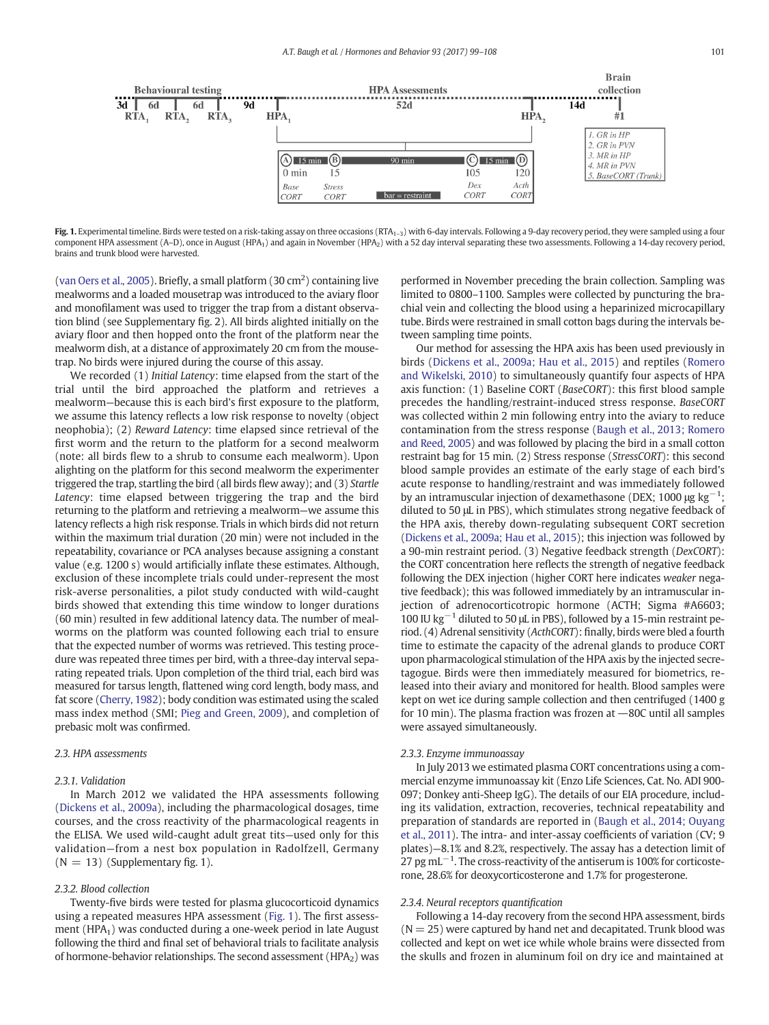<span id="page-2-0"></span>

Fig. 1. Experimental timeline. Birds were tested on a risk-taking assay on three occasions  $(RTA_{1-3})$  with 6-day intervals. Following a 9-day recovery period, they were sampled using a four component HPA assessment (A–D), once in August (HPA<sub>1</sub>) and again in November (HPA<sub>2</sub>) with a 52 day interval separating these two assessments. Following a 14-day recovery period, brains and trunk blood were harvested.

[\(van Oers et al., 2005](#page-9-0)). Briefly, a small platform (30  $\text{cm}^2$ ) containing live mealworms and a loaded mousetrap was introduced to the aviary floor and monofilament was used to trigger the trap from a distant observation blind (see Supplementary fig. 2). All birds alighted initially on the aviary floor and then hopped onto the front of the platform near the mealworm dish, at a distance of approximately 20 cm from the mousetrap. No birds were injured during the course of this assay.

We recorded (1) *Initial Latency*: time elapsed from the start of the trial until the bird approached the platform and retrieves a mealworm—because this is each bird's first exposure to the platform, we assume this latency reflects a low risk response to novelty (object neophobia); (2) Reward Latency: time elapsed since retrieval of the first worm and the return to the platform for a second mealworm (note: all birds flew to a shrub to consume each mealworm). Upon alighting on the platform for this second mealworm the experimenter triggered the trap, startling the bird (all birds flew away); and (3) Startle Latency: time elapsed between triggering the trap and the bird returning to the platform and retrieving a mealworm—we assume this latency reflects a high risk response. Trials in which birds did not return within the maximum trial duration (20 min) were not included in the repeatability, covariance or PCA analyses because assigning a constant value (e.g. 1200 s) would artificially inflate these estimates. Although, exclusion of these incomplete trials could under-represent the most risk-averse personalities, a pilot study conducted with wild-caught birds showed that extending this time window to longer durations (60 min) resulted in few additional latency data. The number of mealworms on the platform was counted following each trial to ensure that the expected number of worms was retrieved. This testing procedure was repeated three times per bird, with a three-day interval separating repeated trials. Upon completion of the third trial, each bird was measured for tarsus length, flattened wing cord length, body mass, and fat score [\(Cherry, 1982](#page-8-0)); body condition was estimated using the scaled mass index method (SMI; [Pieg and Green, 2009\)](#page-9-0), and completion of prebasic molt was confirmed.

# 2.3. HPA assessments

#### 2.3.1. Validation

In March 2012 we validated the HPA assessments following [\(Dickens et al., 2009a\)](#page-8-0), including the pharmacological dosages, time courses, and the cross reactivity of the pharmacological reagents in the ELISA. We used wild-caught adult great tits—used only for this validation—from a nest box population in Radolfzell, Germany  $(N = 13)$  (Supplementary fig. 1).

# 2.3.2. Blood collection

Twenty-five birds were tested for plasma glucocorticoid dynamics using a repeated measures HPA assessment (Fig. 1). The first assessment (HPA<sub>1</sub>) was conducted during a one-week period in late August following the third and final set of behavioral trials to facilitate analysis of hormone-behavior relationships. The second assessment (HPA $_2$ ) was

performed in November preceding the brain collection. Sampling was limited to 0800–1100. Samples were collected by puncturing the brachial vein and collecting the blood using a heparinized microcapillary tube. Birds were restrained in small cotton bags during the intervals between sampling time points.

Our method for assessing the HPA axis has been used previously in birds [\(Dickens et al., 2009a; Hau et al., 2015](#page-8-0)) and reptiles ([Romero](#page-9-0) [and Wikelski, 2010\)](#page-9-0) to simultaneously quantify four aspects of HPA axis function: (1) Baseline CORT (BaseCORT): this first blood sample precedes the handling/restraint-induced stress response. BaseCORT was collected within 2 min following entry into the aviary to reduce contamination from the stress response [\(Baugh et al., 2013; Romero](#page-8-0) [and Reed, 2005\)](#page-8-0) and was followed by placing the bird in a small cotton restraint bag for 15 min. (2) Stress response (StressCORT): this second blood sample provides an estimate of the early stage of each bird's acute response to handling/restraint and was immediately followed by an intramuscular injection of dexamethasone (DEX; 1000  $\mu$ g kg<sup>-1</sup>; diluted to 50 μL in PBS), which stimulates strong negative feedback of the HPA axis, thereby down-regulating subsequent CORT secretion [\(Dickens et al., 2009a; Hau et al., 2015\)](#page-8-0); this injection was followed by a 90-min restraint period. (3) Negative feedback strength (DexCORT): the CORT concentration here reflects the strength of negative feedback following the DEX injection (higher CORT here indicates weaker negative feedback); this was followed immediately by an intramuscular injection of adrenocorticotropic hormone (ACTH; Sigma #A6603; 100 IU kg<sup> $-1$ </sup> diluted to 50 µL in PBS), followed by a 15-min restraint period. (4) Adrenal sensitivity (ActhCORT): finally, birds were bled a fourth time to estimate the capacity of the adrenal glands to produce CORT upon pharmacological stimulation of the HPA axis by the injected secretagogue. Birds were then immediately measured for biometrics, released into their aviary and monitored for health. Blood samples were kept on wet ice during sample collection and then centrifuged (1400 g for 10 min). The plasma fraction was frozen at\\80C until all samples were assayed simultaneously.

#### 2.3.3. Enzyme immunoassay

In July 2013 we estimated plasma CORT concentrations using a commercial enzyme immunoassay kit (Enzo Life Sciences, Cat. No. ADI 900- 097; Donkey anti-Sheep IgG). The details of our EIA procedure, including its validation, extraction, recoveries, technical repeatability and preparation of standards are reported in ([Baugh et al., 2014; Ouyang](#page-8-0) [et al., 2011\)](#page-8-0). The intra- and inter-assay coefficients of variation (CV; 9 plates)—8.1% and 8.2%, respectively. The assay has a detection limit of 27 pg mL<sup>-1</sup>. The cross-reactivity of the antiserum is 100% for corticosterone, 28.6% for deoxycorticosterone and 1.7% for progesterone.

# 2.3.4. Neural receptors quantification

Following a 14-day recovery from the second HPA assessment, birds  $(N = 25)$  were captured by hand net and decapitated. Trunk blood was collected and kept on wet ice while whole brains were dissected from the skulls and frozen in aluminum foil on dry ice and maintained at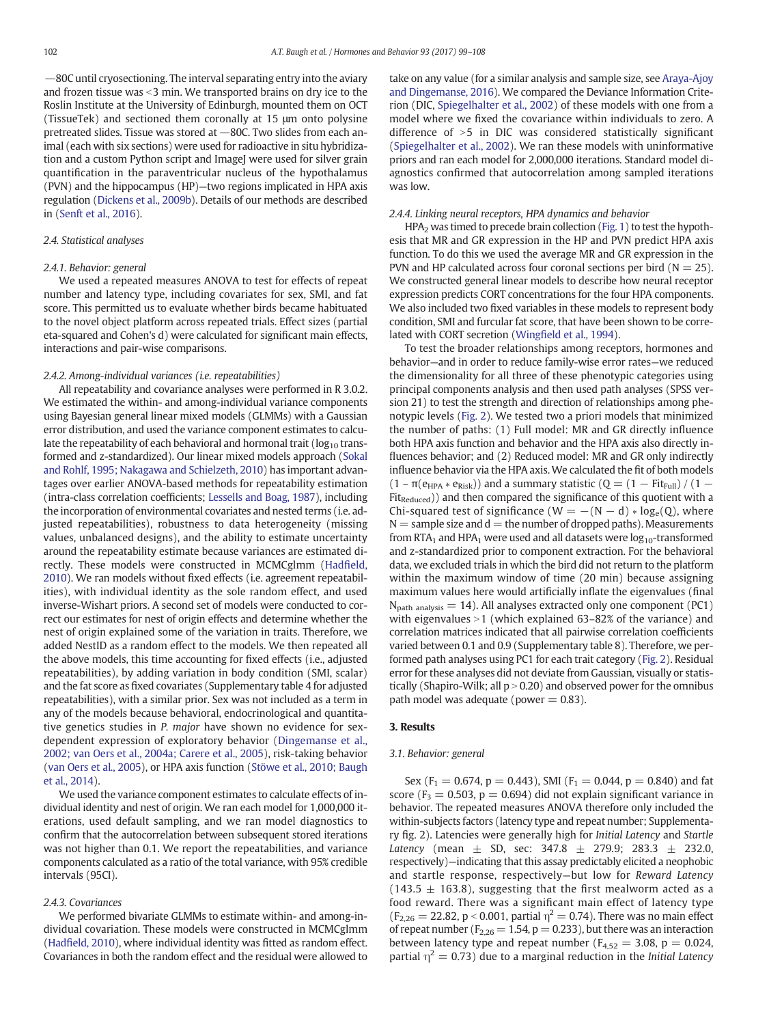$\approx$  80C until cryosectioning. The interval separating entry into the aviary and frozen tissue was  $<$ 3 min. We transported brains on dry ice to the Roslin Institute at the University of Edinburgh, mounted them on OCT (TissueTek) and sectioned them coronally at 15 μm onto polysine pretreated slides. Tissue was stored at -80C. Two slides from each animal (each with six sections) were used for radioactive in situ hybridization and a custom Python script and ImageJ were used for silver grain quantification in the paraventricular nucleus of the hypothalamus (PVN) and the hippocampus (HP)—two regions implicated in HPA axis regulation [\(Dickens et al., 2009b](#page-8-0)). Details of our methods are described in [\(Senft et al., 2016](#page-9-0)).

# 2.4. Statistical analyses

#### 2.4.1. Behavior: general

We used a repeated measures ANOVA to test for effects of repeat number and latency type, including covariates for sex, SMI, and fat score. This permitted us to evaluate whether birds became habituated to the novel object platform across repeated trials. Effect sizes (partial eta-squared and Cohen's d) were calculated for significant main effects, interactions and pair-wise comparisons.

#### 2.4.2. Among-individual variances (i.e. repeatabilities)

All repeatability and covariance analyses were performed in R 3.0.2. We estimated the within- and among-individual variance components using Bayesian general linear mixed models (GLMMs) with a Gaussian error distribution, and used the variance component estimates to calculate the repeatability of each behavioral and hormonal trait ( $log_{10}$  transformed and z-standardized). Our linear mixed models approach ([Sokal](#page-9-0) [and Rohlf, 1995; Nakagawa and Schielzeth, 2010\)](#page-9-0) has important advantages over earlier ANOVA-based methods for repeatability estimation (intra-class correlation coefficients; [Lessells and Boag, 1987](#page-8-0)), including the incorporation of environmental covariates and nested terms (i.e. adjusted repeatabilities), robustness to data heterogeneity (missing values, unbalanced designs), and the ability to estimate uncertainty around the repeatability estimate because variances are estimated directly. These models were constructed in MCMCglmm ([Had](#page-8-0)field, [2010\)](#page-8-0). We ran models without fixed effects (i.e. agreement repeatabilities), with individual identity as the sole random effect, and used inverse-Wishart priors. A second set of models were conducted to correct our estimates for nest of origin effects and determine whether the nest of origin explained some of the variation in traits. Therefore, we added NestID as a random effect to the models. We then repeated all the above models, this time accounting for fixed effects (i.e., adjusted repeatabilities), by adding variation in body condition (SMI, scalar) and the fat score as fixed covariates (Supplementary table 4 for adjusted repeatabilities), with a similar prior. Sex was not included as a term in any of the models because behavioral, endocrinological and quantitative genetics studies in P. major have shown no evidence for sexdependent expression of exploratory behavior [\(Dingemanse et al.,](#page-8-0) [2002; van Oers et al., 2004a; Carere et al., 2005](#page-8-0)), risk-taking behavior [\(van Oers et al., 2005](#page-9-0)), or HPA axis function ([Stöwe et al., 2010; Baugh](#page-9-0) [et al., 2014](#page-9-0)).

We used the variance component estimates to calculate effects of individual identity and nest of origin. We ran each model for 1,000,000 iterations, used default sampling, and we ran model diagnostics to confirm that the autocorrelation between subsequent stored iterations was not higher than 0.1. We report the repeatabilities, and variance components calculated as a ratio of the total variance, with 95% credible intervals (95CI).

# 2.4.3. Covariances

We performed bivariate GLMMs to estimate within- and among-individual covariation. These models were constructed in MCMCglmm (Hadfi[eld, 2010\)](#page-8-0), where individual identity was fitted as random effect. Covariances in both the random effect and the residual were allowed to take on any value (for a similar analysis and sample size, see [Araya-Ajoy](#page-8-0) [and Dingemanse, 2016](#page-8-0)). We compared the Deviance Information Criterion (DIC, [Spiegelhalter et al., 2002\)](#page-9-0) of these models with one from a model where we fixed the covariance within individuals to zero. A difference of  $>5$  in DIC was considered statistically significant [\(Spiegelhalter et al., 2002\)](#page-9-0). We ran these models with uninformative priors and ran each model for 2,000,000 iterations. Standard model diagnostics confirmed that autocorrelation among sampled iterations was low.

#### 2.4.4. Linking neural receptors, HPA dynamics and behavior

HPA2 was timed to precede brain collection [\(Fig. 1](#page-2-0)) to test the hypothesis that MR and GR expression in the HP and PVN predict HPA axis function. To do this we used the average MR and GR expression in the PVN and HP calculated across four coronal sections per bird ( $N = 25$ ). We constructed general linear models to describe how neural receptor expression predicts CORT concentrations for the four HPA components. We also included two fixed variables in these models to represent body condition, SMI and furcular fat score, that have been shown to be correlated with CORT secretion (Wingfi[eld et al., 1994](#page-9-0)).

To test the broader relationships among receptors, hormones and behavior—and in order to reduce family-wise error rates—we reduced the dimensionality for all three of these phenotypic categories using principal components analysis and then used path analyses (SPSS version 21) to test the strength and direction of relationships among phenotypic levels ([Fig. 2\)](#page-4-0). We tested two a priori models that minimized the number of paths: (1) Full model: MR and GR directly influence both HPA axis function and behavior and the HPA axis also directly influences behavior; and (2) Reduced model: MR and GR only indirectly influence behavior via the HPA axis.We calculated the fit of both models  $(1 - \pi(e_{HPA} * e_{Risk}))$  and a summary statistic  $(Q = (1 - Fit_{Full}) / (1 Fit<sub>Reduced</sub>)$ ) and then compared the significance of this quotient with a Chi-squared test of significance (W =  $-(N - d) * log_e(Q)$ , where  $N =$  sample size and  $d =$  the number of dropped paths). Measurements from RTA<sub>1</sub> and HPA<sub>1</sub> were used and all datasets were log<sub>10</sub>-transformed and z-standardized prior to component extraction. For the behavioral data, we excluded trials in which the bird did not return to the platform within the maximum window of time (20 min) because assigning maximum values here would artificially inflate the eigenvalues (final  $N_{path\ analysis} = 14$ ). All analyses extracted only one component (PC1) with eigenvalues  $>1$  (which explained 63–82% of the variance) and correlation matrices indicated that all pairwise correlation coefficients varied between 0.1 and 0.9 (Supplementary table 8). Therefore, we performed path analyses using PC1 for each trait category ([Fig. 2\)](#page-4-0). Residual error for these analyses did not deviate from Gaussian, visually or statistically (Shapiro-Wilk; all  $p > 0.20$ ) and observed power for the omnibus path model was adequate (power  $= 0.83$ ).

#### 3. Results

# 3.1. Behavior: general

Sex (F<sub>1</sub> = 0.674, p = 0.443), SMI (F<sub>1</sub> = 0.044, p = 0.840) and fat score ( $F_3$  = 0.503,  $p$  = 0.694) did not explain significant variance in behavior. The repeated measures ANOVA therefore only included the within-subjects factors (latency type and repeat number; Supplementary fig. 2). Latencies were generally high for Initial Latency and Startle Latency (mean  $\pm$  SD, sec: 347.8  $\pm$  279.9; 283.3  $\pm$  232.0, respectively)—indicating that this assay predictably elicited a neophobic and startle response, respectively—but low for Reward Latency  $(143.5 \pm 163.8)$ , suggesting that the first mealworm acted as a food reward. There was a significant main effect of latency type  $(F_{2,26} = 22.82, p < 0.001,$  partial  $\eta^2 = 0.74$ ). There was no main effect of repeat number ( $F_{2,26} = 1.54$ ,  $p = 0.233$ ), but there was an interaction between latency type and repeat number ( $F_{4,52} = 3.08$ ,  $p = 0.024$ , partial  $\eta^2 = 0.73$ ) due to a marginal reduction in the *Initial Latency*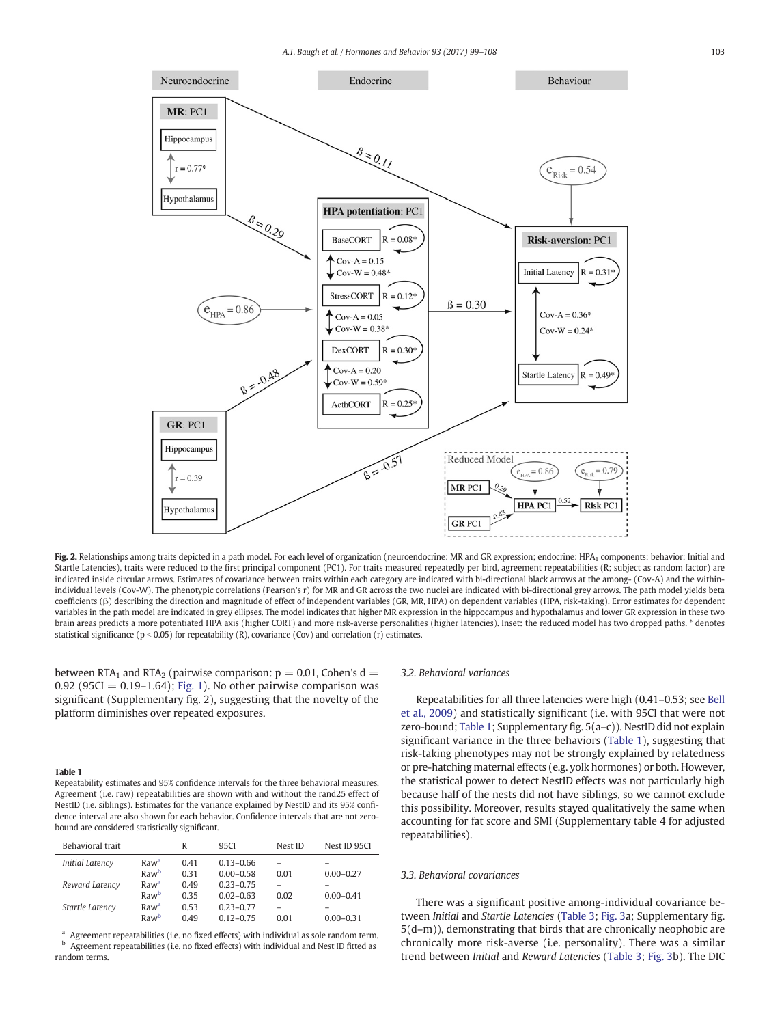<span id="page-4-0"></span>

Fig. 2. Relationships among traits depicted in a path model. For each level of organization (neuroendocrine: MR and GR expression; endocrine: HPA<sub>1</sub> components; behavior: Initial and Startle Latencies), traits were reduced to the first principal component (PC1). For traits measured repeatedly per bird, agreement repeatabilities (R; subject as random factor) are indicated inside circular arrows. Estimates of covariance between traits within each category are indicated with bi-directional black arrows at the among- (Cov-A) and the withinindividual levels (Cov-W). The phenotypic correlations (Pearson's r) for MR and GR across the two nuclei are indicated with bi-directional grey arrows. The path model yields beta coefficients (β) describing the direction and magnitude of effect of independent variables (GR, MR, HPA) on dependent variables (HPA, risk-taking). Error estimates for dependent variables in the path model are indicated in grey ellipses. The model indicates that higher MR expression in the hippocampus and hypothalamus and lower GR expression in these two brain areas predicts a more potentiated HPA axis (higher CORT) and more risk-averse personalities (higher latencies). Inset: the reduced model has two dropped paths. \* denotes statistical significance ( $p < 0.05$ ) for repeatability (R), covariance (Cov) and correlation (r) estimates.

between RTA<sub>1</sub> and RTA<sub>2</sub> (pairwise comparison:  $p = 0.01$ , Cohen's d =  $0.92$  (95CI = 0.19–1.64); [Fig. 1](#page-2-0)). No other pairwise comparison was significant (Supplementary fig. 2), suggesting that the novelty of the platform diminishes over repeated exposures.

#### Table 1

Repeatability estimates and 95% confidence intervals for the three behavioral measures. Agreement (i.e. raw) repeatabilities are shown with and without the rand25 effect of NestID (i.e. siblings). Estimates for the variance explained by NestID and its 95% confidence interval are also shown for each behavior. Confidence intervals that are not zerobound are considered statistically significant.

| Behavioral trait       |                  | R    | 95CI          | Nest ID | Nest ID 95CI  |
|------------------------|------------------|------|---------------|---------|---------------|
| <b>Initial Latency</b> | Raw <sup>a</sup> | 0.41 | $0.13 - 0.66$ |         |               |
|                        | Raw <sup>b</sup> | 0.31 | $0.00 - 0.58$ | 0.01    | $0.00 - 0.27$ |
| Reward Latency         | Raw <sup>a</sup> | 0.49 | $0.23 - 0.75$ |         |               |
|                        | Raw <sup>b</sup> | 0.35 | $0.02 - 0.63$ | 0.02    | $0.00 - 0.41$ |
| Startle Latency        | Raw <sup>a</sup> | 0.53 | $0.23 - 0.77$ |         |               |
|                        | Raw <sup>b</sup> | 0.49 | $0.12 - 0.75$ | 0.01    | $0.00 - 0.31$ |

<sup>a</sup> Agreement repeatabilities (i.e. no fixed effects) with individual as sole random term.

Agreement repeatabilities (i.e. no fixed effects) with individual and Nest ID fitted as random terms.

#### 3.2. Behavioral variances

Repeatabilities for all three latencies were high (0.41–0.53; see [Bell](#page-8-0) [et al., 2009\)](#page-8-0) and statistically significant (i.e. with 95CI that were not zero-bound; Table 1; Supplementary fig. 5(a–c)). NestID did not explain significant variance in the three behaviors (Table 1), suggesting that risk-taking phenotypes may not be strongly explained by relatedness or pre-hatching maternal effects (e.g. yolk hormones) or both. However, the statistical power to detect NestID effects was not particularly high because half of the nests did not have siblings, so we cannot exclude this possibility. Moreover, results stayed qualitatively the same when accounting for fat score and SMI (Supplementary table 4 for adjusted repeatabilities).

#### 3.3. Behavioral covariances

There was a significant positive among-individual covariance between Initial and Startle Latencies ([Table 3;](#page-6-0) [Fig. 3a](#page-5-0); Supplementary fig. 5(d–m)), demonstrating that birds that are chronically neophobic are chronically more risk-averse (i.e. personality). There was a similar trend between Initial and Reward Latencies ([Table 3](#page-6-0); [Fig. 3](#page-5-0)b). The DIC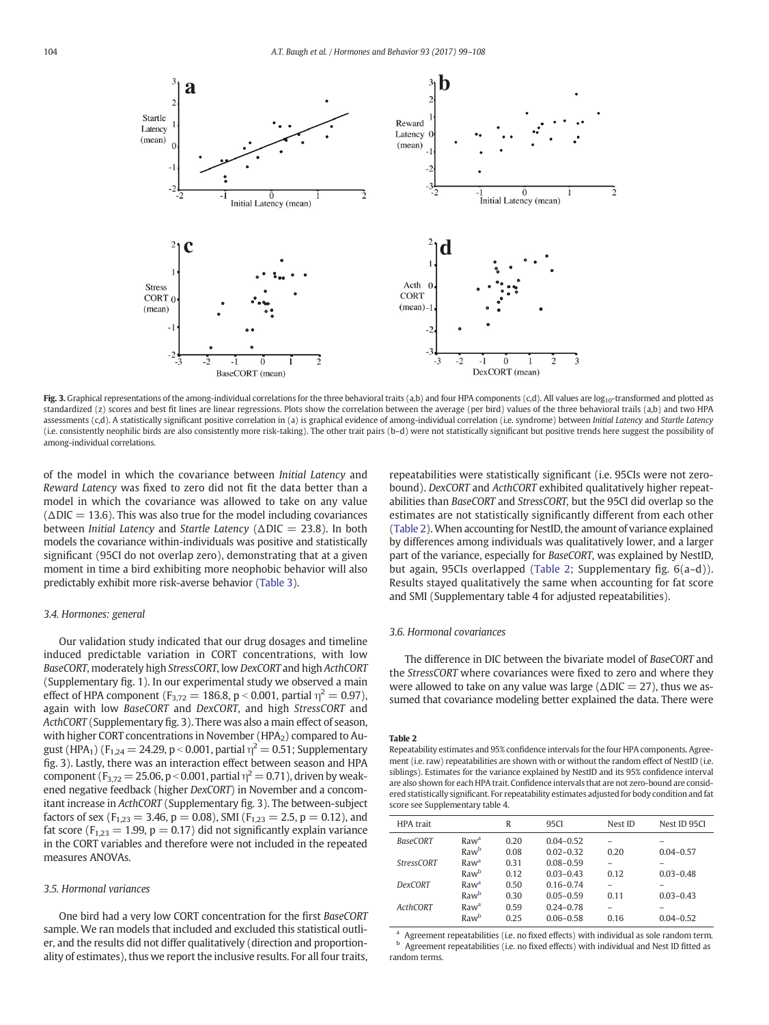<span id="page-5-0"></span>

Fig. 3. Graphical representations of the among-individual correlations for the three behavioral traits (a,b) and four HPA components (c,d). All values are log<sub>10</sub>-transformed and plotted as standardized (z) scores and best fit lines are linear regressions. Plots show the correlation between the average (per bird) values of the three behavioral trails (a,b) and two HPA assessments (c,d). A statistically significant positive correlation in (a) is graphical evidence of among-individual correlation (i.e. syndrome) between Initial Latency and Startle Latency (i.e. consistently neophilic birds are also consistently more risk-taking). The other trait pairs (b–d) were not statistically significant but positive trends here suggest the possibility of among-individual correlations.

of the model in which the covariance between Initial Latency and Reward Latency was fixed to zero did not fit the data better than a model in which the covariance was allowed to take on any value  $(\Delta$ DIC = 13.6). This was also true for the model including covariances between *Initial Latency* and *Startle Latency* ( $\triangle DIC = 23.8$ ). In both models the covariance within-individuals was positive and statistically significant (95CI do not overlap zero), demonstrating that at a given moment in time a bird exhibiting more neophobic behavior will also predictably exhibit more risk-averse behavior [\(Table 3\)](#page-6-0).

#### 3.4. Hormones: general

Our validation study indicated that our drug dosages and timeline induced predictable variation in CORT concentrations, with low BaseCORT, moderately high StressCORT, low DexCORT and high ActhCORT (Supplementary fig. 1). In our experimental study we observed a main effect of HPA component ( $F_{3,72} = 186.8$ , p < 0.001, partial  $\eta^2 = 0.97$ ), again with low BaseCORT and DexCORT, and high StressCORT and ActhCORT (Supplementary fig. 3). There was also a main effect of season, with higher CORT concentrations in November (HPA<sub>2</sub>) compared to August (HPA<sub>1</sub>) (F<sub>1,24</sub> = 24,29, p < 0.001, partial  $\eta^2$  = 0.51; Supplementary fig. 3). Lastly, there was an interaction effect between season and HPA component (F<sub>3,72</sub> = 25.06, p < 0.001, partial  $\eta^2$  = 0.71), driven by weakened negative feedback (higher DexCORT) in November and a concomitant increase in ActhCORT (Supplementary fig. 3). The between-subject factors of sex ( $F_{1,23} = 3.46$ ,  $p = 0.08$ ), SMI ( $F_{1,23} = 2.5$ ,  $p = 0.12$ ), and fat score ( $F_{1,23} = 1.99$ ,  $p = 0.17$ ) did not significantly explain variance in the CORT variables and therefore were not included in the repeated measures ANOVAs.

#### 3.5. Hormonal variances

One bird had a very low CORT concentration for the first BaseCORT sample. We ran models that included and excluded this statistical outlier, and the results did not differ qualitatively (direction and proportionality of estimates), thus we report the inclusive results. For all four traits, repeatabilities were statistically significant (i.e. 95CIs were not zerobound). DexCORT and ActhCORT exhibited qualitatively higher repeatabilities than BaseCORT and StressCORT, but the 95CI did overlap so the estimates are not statistically significantly different from each other (Table 2).When accounting for NestID, the amount of variance explained by differences among individuals was qualitatively lower, and a larger part of the variance, especially for BaseCORT, was explained by NestID, but again, 95CIs overlapped (Table 2; Supplementary fig. 6(a–d)). Results stayed qualitatively the same when accounting for fat score and SMI (Supplementary table 4 for adjusted repeatabilities).

# 3.6. Hormonal covariances

The difference in DIC between the bivariate model of BaseCORT and the StressCORT where covariances were fixed to zero and where they were allowed to take on any value was large ( $\Delta$ DIC = 27), thus we assumed that covariance modeling better explained the data. There were

#### Table 2

Repeatability estimates and 95% confidence intervals for the four HPA components. Agreement (i.e. raw) repeatabilities are shown with or without the random effect of NestID (i.e. siblings). Estimates for the variance explained by NestID and its 95% confidence interval are also shown for each HPA trait. Confidence intervals that are not zero-bound are considered statistically significant. For repeatability estimates adjusted for body condition and fat score see Supplementary table 4.

| <b>HPA</b> trait  |                  | R    | 95CI          | Nest ID | Nest ID 95CI  |
|-------------------|------------------|------|---------------|---------|---------------|
| <b>BaseCORT</b>   | Raw <sup>a</sup> | 0.20 | $0.04 - 0.52$ |         |               |
|                   | Raw <sup>b</sup> | 0.08 | $0.02 - 0.32$ | 0.20    | $0.04 - 0.57$ |
| <b>StressCORT</b> | Raw <sup>a</sup> | 0.31 | $0.08 - 0.59$ |         |               |
|                   | Raw <sup>b</sup> | 0.12 | $0.03 - 0.43$ | 0.12    | $0.03 - 0.48$ |
| <b>DexCORT</b>    | Raw <sup>a</sup> | 0.50 | $0.16 - 0.74$ |         |               |
|                   | Raw <sup>b</sup> | 0.30 | $0.05 - 0.59$ | 0.11    | $0.03 - 0.43$ |
| <b>ActhCORT</b>   | Raw <sup>a</sup> | 0.59 | $0.24 - 0.78$ |         |               |
|                   | Raw <sup>b</sup> | 0.25 | $0.06 - 0.58$ | 0.16    | $0.04 - 0.52$ |
|                   |                  |      |               |         |               |

<sup>a</sup> Agreement repeatabilities (i.e. no fixed effects) with individual as sole random term. **b** Agreement repeatabilities (i.e. no fixed effects) with individual and Nest ID fitted as random terms.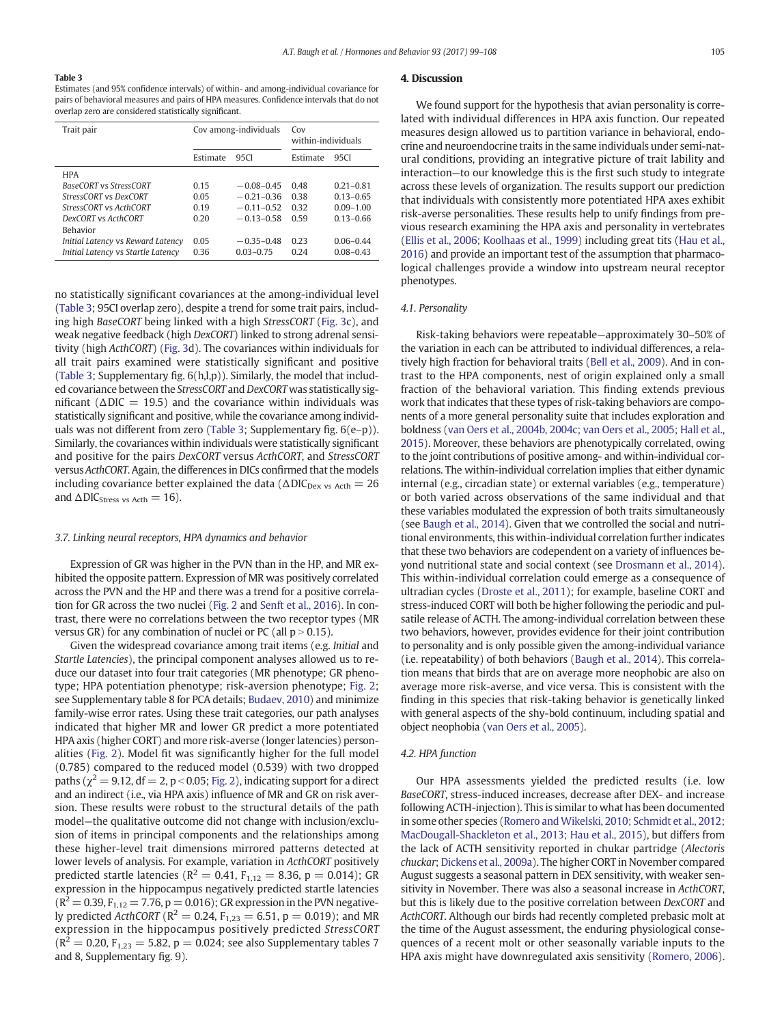#### <span id="page-6-0"></span>Table 3

Estimates (and 95% confidence intervals) of within- and among-individual covariance for pairs of behavioral measures and pairs of HPA measures. Confidence intervals that do not overlap zero are considered statistically significant.

| Trait pair                                | Cov among-individuals |                | Cov<br>within-individuals |               |
|-------------------------------------------|-----------------------|----------------|---------------------------|---------------|
|                                           | Estimate              | 95CI           | Estimate                  | 95CI          |
| <b>HPA</b>                                |                       |                |                           |               |
| BaseCORT vs StressCORT                    | 0.15                  | $-0.08 - 0.45$ | 0.48                      | $0.21 - 0.81$ |
| StressCORT vs DexCORT                     | 0.05                  | $-0.21 - 0.36$ | 0.38                      | $0.13 - 0.65$ |
| StressCORT vs ActhCORT                    | 0.19                  | $-0.11 - 0.52$ | 0.32                      | $0.09 - 1.00$ |
| DexCORT vs ActhCORT                       | 0.20                  | $-0.13 - 0.58$ | 0.59                      | $0.13 - 0.66$ |
| Behavior                                  |                       |                |                           |               |
| Initial Latency vs Reward Latency         | 0.05                  | $-0.35 - 0.48$ | 0.23                      | $0.06 - 0.44$ |
| <b>Initial Latency vs Startle Latency</b> | 0.36                  | $0.03 - 0.75$  | 0.24                      | $0.08 - 0.43$ |

no statistically significant covariances at the among-individual level (Table 3; 95CI overlap zero), despite a trend for some trait pairs, including high BaseCORT being linked with a high StressCORT ([Fig. 3](#page-5-0)c), and weak negative feedback (high DexCORT) linked to strong adrenal sensitivity (high ActhCORT) [\(Fig. 3d](#page-5-0)). The covariances within individuals for all trait pairs examined were statistically significant and positive (Table 3; Supplementary fig. 6(h,l,p)). Similarly, the model that included covariance between the StressCORT and DexCORT was statistically significant ( $\Delta$ DIC = 19.5) and the covariance within individuals was statistically significant and positive, while the covariance among individuals was not different from zero (Table 3; Supplementary fig. 6(e–p)). Similarly, the covariances within individuals were statistically significant and positive for the pairs DexCORT versus ActhCORT, and StressCORT versus ActhCORT. Again, the differences in DICs confirmed that the models including covariance better explained the data ( $\Delta$ DIC<sub>Dex vs</sub> Acth = 26 and  $\Delta$ DIC<sub>Stress vs</sub> Acth = 16).

#### 3.7. Linking neural receptors, HPA dynamics and behavior

Expression of GR was higher in the PVN than in the HP, and MR exhibited the opposite pattern. Expression of MR was positively correlated across the PVN and the HP and there was a trend for a positive correlation for GR across the two nuclei [\(Fig. 2](#page-4-0) and [Senft et al., 2016\)](#page-9-0). In contrast, there were no correlations between the two receptor types (MR versus GR) for any combination of nuclei or PC (all  $p > 0.15$ ).

Given the widespread covariance among trait items (e.g. Initial and Startle Latencies), the principal component analyses allowed us to reduce our dataset into four trait categories (MR phenotype; GR phenotype; HPA potentiation phenotype; risk-aversion phenotype; [Fig. 2;](#page-4-0) see Supplementary table 8 for PCA details; [Budaev, 2010\)](#page-8-0) and minimize family-wise error rates. Using these trait categories, our path analyses indicated that higher MR and lower GR predict a more potentiated HPA axis (higher CORT) and more risk-averse (longer latencies) personalities ([Fig. 2\)](#page-4-0). Model fit was significantly higher for the full model (0.785) compared to the reduced model (0.539) with two dropped paths ( $\chi^2 = 9.12$ , df = 2, p < 0.05; [Fig. 2](#page-4-0)), indicating support for a direct and an indirect (i.e., via HPA axis) influence of MR and GR on risk aversion. These results were robust to the structural details of the path model—the qualitative outcome did not change with inclusion/exclusion of items in principal components and the relationships among these higher-level trait dimensions mirrored patterns detected at lower levels of analysis. For example, variation in ActhCORT positively predicted startle latencies ( $R^2 = 0.41$ ,  $F_{1,12} = 8.36$ ,  $p = 0.014$ ); GR expression in the hippocampus negatively predicted startle latencies  $(R^2 = 0.39, F_{1,12} = 7.76, p = 0.016)$ ; GR expression in the PVN negatively predicted ActhCORT ( $R^2 = 0.24$ ,  $F_{1,23} = 6.51$ ,  $p = 0.019$ ); and MR expression in the hippocampus positively predicted StressCORT  $(R^{2} = 0.20, F_{1,23} = 5.82, p = 0.024$ ; see also Supplementary tables 7 and 8, Supplementary fig. 9).

### 4. Discussion

We found support for the hypothesis that avian personality is correlated with individual differences in HPA axis function. Our repeated measures design allowed us to partition variance in behavioral, endocrine and neuroendocrine traits in the same individuals under semi-natural conditions, providing an integrative picture of trait lability and interaction—to our knowledge this is the first such study to integrate across these levels of organization. The results support our prediction that individuals with consistently more potentiated HPA axes exhibit risk-averse personalities. These results help to unify findings from previous research examining the HPA axis and personality in vertebrates [\(Ellis et al., 2006; Koolhaas et al., 1999\)](#page-8-0) including great tits [\(Hau et al.,](#page-8-0) [2016](#page-8-0)) and provide an important test of the assumption that pharmacological challenges provide a window into upstream neural receptor phenotypes.

### 4.1. Personality

Risk-taking behaviors were repeatable—approximately 30–50% of the variation in each can be attributed to individual differences, a relatively high fraction for behavioral traits [\(Bell et al., 2009](#page-8-0)). And in contrast to the HPA components, nest of origin explained only a small fraction of the behavioral variation. This finding extends previous work that indicates that these types of risk-taking behaviors are components of a more general personality suite that includes exploration and boldness [\(van Oers et al., 2004b, 2004c; van Oers et al., 2005; Hall et al.,](#page-9-0) [2015](#page-9-0)). Moreover, these behaviors are phenotypically correlated, owing to the joint contributions of positive among- and within-individual correlations. The within-individual correlation implies that either dynamic internal (e.g., circadian state) or external variables (e.g., temperature) or both varied across observations of the same individual and that these variables modulated the expression of both traits simultaneously (see [Baugh et al., 2014](#page-8-0)). Given that we controlled the social and nutritional environments, this within-individual correlation further indicates that these two behaviors are codependent on a variety of influences beyond nutritional state and social context (see [Drosmann et al., 2014](#page-8-0)). This within-individual correlation could emerge as a consequence of ultradian cycles [\(Droste et al., 2011\)](#page-8-0); for example, baseline CORT and stress-induced CORT will both be higher following the periodic and pulsatile release of ACTH. The among-individual correlation between these two behaviors, however, provides evidence for their joint contribution to personality and is only possible given the among-individual variance (i.e. repeatability) of both behaviors [\(Baugh et al., 2014](#page-8-0)). This correlation means that birds that are on average more neophobic are also on average more risk-averse, and vice versa. This is consistent with the finding in this species that risk-taking behavior is genetically linked with general aspects of the shy-bold continuum, including spatial and object neophobia [\(van Oers et al., 2005](#page-9-0)).

#### 4.2. HPA function

Our HPA assessments yielded the predicted results (i.e. low BaseCORT, stress-induced increases, decrease after DEX- and increase following ACTH-injection). This is similar to what has been documented in some other species [\(Romero and Wikelski, 2010; Schmidt et al., 2012;](#page-9-0) [MacDougall-Shackleton et al., 2013; Hau et al., 2015\)](#page-9-0), but differs from the lack of ACTH sensitivity reported in chukar partridge (Alectoris chuckar; [Dickens et al., 2009a](#page-8-0)). The higher CORT in November compared August suggests a seasonal pattern in DEX sensitivity, with weaker sensitivity in November. There was also a seasonal increase in ActhCORT, but this is likely due to the positive correlation between DexCORT and ActhCORT. Although our birds had recently completed prebasic molt at the time of the August assessment, the enduring physiological consequences of a recent molt or other seasonally variable inputs to the HPA axis might have downregulated axis sensitivity [\(Romero, 2006](#page-9-0)).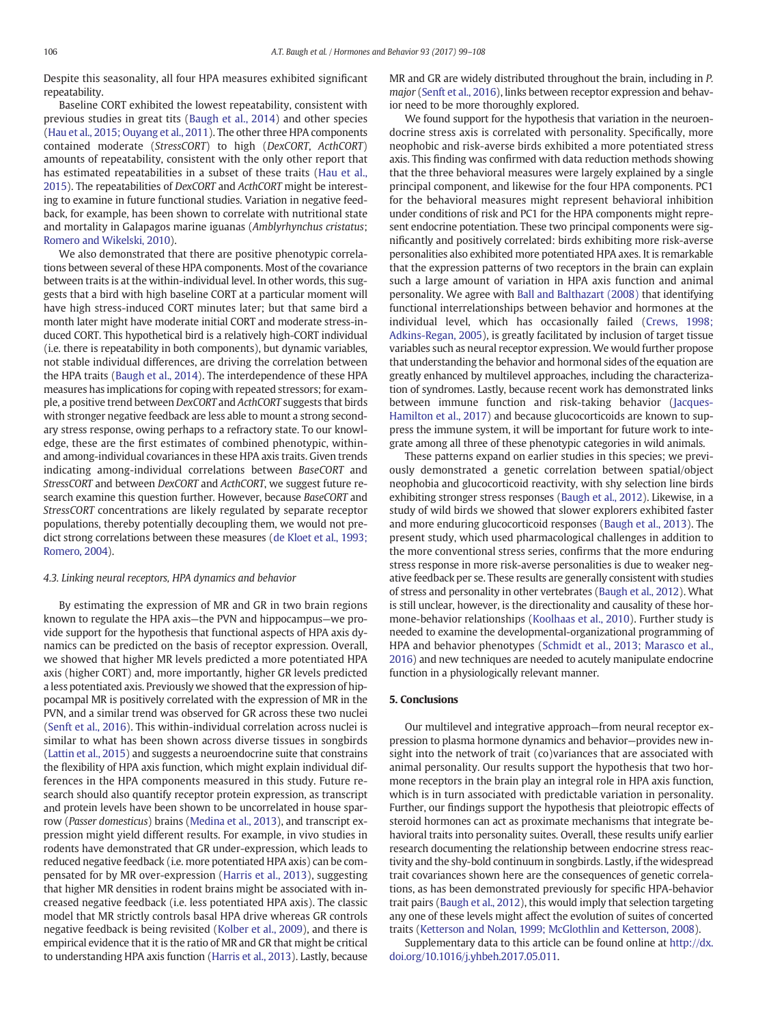Despite this seasonality, all four HPA measures exhibited significant repeatability.

Baseline CORT exhibited the lowest repeatability, consistent with previous studies in great tits ([Baugh et al., 2014](#page-8-0)) and other species [\(Hau et al., 2015; Ouyang et al., 2011\)](#page-8-0). The other three HPA components contained moderate (StressCORT) to high (DexCORT, ActhCORT) amounts of repeatability, consistent with the only other report that has estimated repeatabilities in a subset of these traits ([Hau et al.,](#page-8-0) [2015\)](#page-8-0). The repeatabilities of DexCORT and ActhCORT might be interesting to examine in future functional studies. Variation in negative feedback, for example, has been shown to correlate with nutritional state and mortality in Galapagos marine iguanas (Amblyrhynchus cristatus; [Romero and Wikelski, 2010\)](#page-9-0).

We also demonstrated that there are positive phenotypic correlations between several of these HPA components. Most of the covariance between traits is at the within-individual level. In other words, this suggests that a bird with high baseline CORT at a particular moment will have high stress-induced CORT minutes later; but that same bird a month later might have moderate initial CORT and moderate stress-induced CORT. This hypothetical bird is a relatively high-CORT individual (i.e. there is repeatability in both components), but dynamic variables, not stable individual differences, are driving the correlation between the HPA traits ([Baugh et al., 2014](#page-8-0)). The interdependence of these HPA measures has implications for coping with repeated stressors; for example, a positive trend between DexCORT and ActhCORT suggests that birds with stronger negative feedback are less able to mount a strong secondary stress response, owing perhaps to a refractory state. To our knowledge, these are the first estimates of combined phenotypic, withinand among-individual covariances in these HPA axis traits. Given trends indicating among-individual correlations between BaseCORT and StressCORT and between DexCORT and ActhCORT, we suggest future research examine this question further. However, because BaseCORT and StressCORT concentrations are likely regulated by separate receptor populations, thereby potentially decoupling them, we would not predict strong correlations between these measures ([de Kloet et al., 1993;](#page-8-0) [Romero, 2004](#page-8-0)).

#### 4.3. Linking neural receptors, HPA dynamics and behavior

By estimating the expression of MR and GR in two brain regions known to regulate the HPA axis—the PVN and hippocampus—we provide support for the hypothesis that functional aspects of HPA axis dynamics can be predicted on the basis of receptor expression. Overall, we showed that higher MR levels predicted a more potentiated HPA axis (higher CORT) and, more importantly, higher GR levels predicted a less potentiated axis. Previously we showed that the expression of hippocampal MR is positively correlated with the expression of MR in the PVN, and a similar trend was observed for GR across these two nuclei [\(Senft et al., 2016\)](#page-9-0). This within-individual correlation across nuclei is similar to what has been shown across diverse tissues in songbirds [\(Lattin et al., 2015](#page-8-0)) and suggests a neuroendocrine suite that constrains the flexibility of HPA axis function, which might explain individual differences in the HPA components measured in this study. Future research should also quantify receptor protein expression, as transcript and protein levels have been shown to be uncorrelated in house sparrow (Passer domesticus) brains [\(Medina et al., 2013](#page-8-0)), and transcript expression might yield different results. For example, in vivo studies in rodents have demonstrated that GR under-expression, which leads to reduced negative feedback (i.e. more potentiated HPA axis) can be compensated for by MR over-expression ([Harris et al., 2013\)](#page-8-0), suggesting that higher MR densities in rodent brains might be associated with increased negative feedback (i.e. less potentiated HPA axis). The classic model that MR strictly controls basal HPA drive whereas GR controls negative feedback is being revisited ([Kolber et al., 2009](#page-8-0)), and there is empirical evidence that it is the ratio of MR and GR that might be critical to understanding HPA axis function [\(Harris et al., 2013\)](#page-8-0). Lastly, because MR and GR are widely distributed throughout the brain, including in P. major [\(Senft et al., 2016](#page-9-0)), links between receptor expression and behavior need to be more thoroughly explored.

We found support for the hypothesis that variation in the neuroendocrine stress axis is correlated with personality. Specifically, more neophobic and risk-averse birds exhibited a more potentiated stress axis. This finding was confirmed with data reduction methods showing that the three behavioral measures were largely explained by a single principal component, and likewise for the four HPA components. PC1 for the behavioral measures might represent behavioral inhibition under conditions of risk and PC1 for the HPA components might represent endocrine potentiation. These two principal components were significantly and positively correlated: birds exhibiting more risk-averse personalities also exhibited more potentiated HPA axes. It is remarkable that the expression patterns of two receptors in the brain can explain such a large amount of variation in HPA axis function and animal personality. We agree with [Ball and Balthazart \(2008\)](#page-8-0) that identifying functional interrelationships between behavior and hormones at the individual level, which has occasionally failed ([Crews, 1998;](#page-8-0) [Adkins-Regan, 2005](#page-8-0)), is greatly facilitated by inclusion of target tissue variables such as neural receptor expression. We would further propose that understanding the behavior and hormonal sides of the equation are greatly enhanced by multilevel approaches, including the characterization of syndromes. Lastly, because recent work has demonstrated links between immune function and risk-taking behavior ([Jacques-](#page-8-0)[Hamilton et al., 2017](#page-8-0)) and because glucocorticoids are known to suppress the immune system, it will be important for future work to integrate among all three of these phenotypic categories in wild animals.

These patterns expand on earlier studies in this species; we previously demonstrated a genetic correlation between spatial/object neophobia and glucocorticoid reactivity, with shy selection line birds exhibiting stronger stress responses ([Baugh et al., 2012\)](#page-8-0). Likewise, in a study of wild birds we showed that slower explorers exhibited faster and more enduring glucocorticoid responses [\(Baugh et al., 2013](#page-8-0)). The present study, which used pharmacological challenges in addition to the more conventional stress series, confirms that the more enduring stress response in more risk-averse personalities is due to weaker negative feedback per se. These results are generally consistent with studies of stress and personality in other vertebrates [\(Baugh et al., 2012](#page-8-0)). What is still unclear, however, is the directionality and causality of these hormone-behavior relationships ([Koolhaas et al., 2010\)](#page-8-0). Further study is needed to examine the developmental-organizational programming of HPA and behavior phenotypes [\(Schmidt et al., 2013; Marasco et al.,](#page-9-0) [2016\)](#page-9-0) and new techniques are needed to acutely manipulate endocrine function in a physiologically relevant manner.

#### 5. Conclusions

Our multilevel and integrative approach—from neural receptor expression to plasma hormone dynamics and behavior—provides new insight into the network of trait (co)variances that are associated with animal personality. Our results support the hypothesis that two hormone receptors in the brain play an integral role in HPA axis function, which is in turn associated with predictable variation in personality. Further, our findings support the hypothesis that pleiotropic effects of steroid hormones can act as proximate mechanisms that integrate behavioral traits into personality suites. Overall, these results unify earlier research documenting the relationship between endocrine stress reactivity and the shy-bold continuum in songbirds. Lastly, if the widespread trait covariances shown here are the consequences of genetic correlations, as has been demonstrated previously for specific HPA-behavior trait pairs [\(Baugh et al., 2012\)](#page-8-0), this would imply that selection targeting any one of these levels might affect the evolution of suites of concerted traits ([Ketterson and Nolan, 1999; McGlothlin and Ketterson, 2008](#page-8-0)).

Supplementary data to this article can be found online at [http://dx.](http://dx.doi.org/10.1016/j.yhbeh.2017.05.011) [doi.org/10.1016/j.yhbeh.2017.05.011.](http://dx.doi.org/10.1016/j.yhbeh.2017.05.011)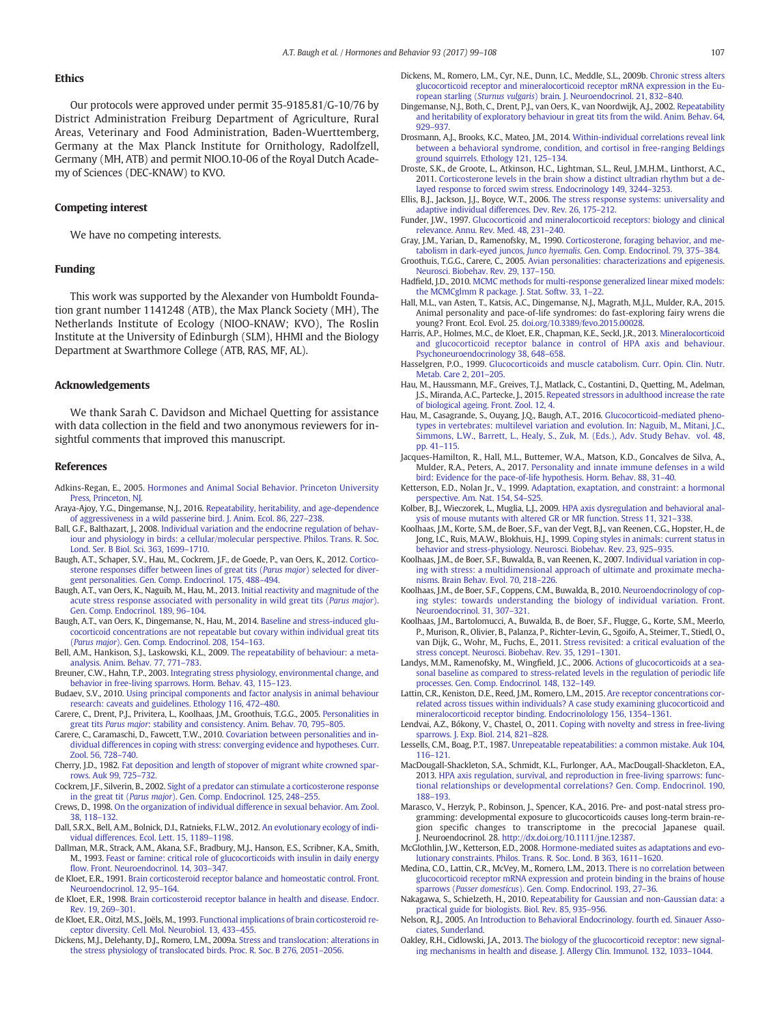# <span id="page-8-0"></span>Ethics

Our protocols were approved under permit 35-9185.81/G-10/76 by District Administration Freiburg Department of Agriculture, Rural Areas, Veterinary and Food Administration, Baden-Wuerttemberg, Germany at the Max Planck Institute for Ornithology, Radolfzell, Germany (MH, ATB) and permit NIOO.10-06 of the Royal Dutch Academy of Sciences (DEC-KNAW) to KVO.

# Competing interest

We have no competing interests.

### Funding

This work was supported by the Alexander von Humboldt Foundation grant number 1141248 (ATB), the Max Planck Society (MH), The Netherlands Institute of Ecology (NIOO-KNAW; KVO), The Roslin Institute at the University of Edinburgh (SLM), HHMI and the Biology Department at Swarthmore College (ATB, RAS, MF, AL).

#### Acknowledgements

We thank Sarah C. Davidson and Michael Quetting for assistance with data collection in the field and two anonymous reviewers for insightful comments that improved this manuscript.

#### References

- Adkins-Regan, E., 2005. [Hormones and Animal Social Behavior. Princeton University](http://refhub.elsevier.com/S0018-506X(17)30029-6/rf0005) [Press, Princeton, NJ](http://refhub.elsevier.com/S0018-506X(17)30029-6/rf0005)
- Araya-Ajoy, Y.G., Dingemanse, N.J., 2016. [Repeatability, heritability, and age-dependence](http://refhub.elsevier.com/S0018-506X(17)30029-6/rf0010) [of aggressiveness in a wild passerine bird. J. Anim. Ecol. 86, 227](http://refhub.elsevier.com/S0018-506X(17)30029-6/rf0010)–238.
- Ball, G.F., Balthazart, J., 2008. [Individual variation and the endocrine regulation of behav](http://refhub.elsevier.com/S0018-506X(17)30029-6/rf0015)[iour and physiology in birds: a cellular/molecular perspective. Philos. Trans. R. Soc.](http://refhub.elsevier.com/S0018-506X(17)30029-6/rf0015) [Lond. Ser. B Biol. Sci. 363, 1699](http://refhub.elsevier.com/S0018-506X(17)30029-6/rf0015)–1710.
- Baugh, A.T., Schaper, S.V., Hau, M., Cockrem, J.F., de Goede, P., van Oers, K., 2012. [Cortico](http://refhub.elsevier.com/S0018-506X(17)30029-6/rf0020)[sterone responses differ between lines of great tits \(](http://refhub.elsevier.com/S0018-506X(17)30029-6/rf0020)Parus major) selected for diver[gent personalities. Gen. Comp. Endocrinol. 175, 488](http://refhub.elsevier.com/S0018-506X(17)30029-6/rf0020)–494.
- Baugh, A.T., van Oers, K., Naguib, M., Hau, M., 2013. [Initial reactivity and magnitude of the](http://refhub.elsevier.com/S0018-506X(17)30029-6/rf0025) [acute stress response associated with personality in wild great tits \(](http://refhub.elsevier.com/S0018-506X(17)30029-6/rf0025)Parus major). [Gen. Comp. Endocrinol. 189, 96](http://refhub.elsevier.com/S0018-506X(17)30029-6/rf0025)–104.
- Baugh, A.T., van Oers, K., Dingemanse, N., Hau, M., 2014. [Baseline and stress-induced glu](http://refhub.elsevier.com/S0018-506X(17)30029-6/rf0030)[cocorticoid concentrations are not repeatable but covary within individual great tits](http://refhub.elsevier.com/S0018-506X(17)30029-6/rf0030) (Parus major[\). Gen. Comp. Endocrinol. 208, 154](http://refhub.elsevier.com/S0018-506X(17)30029-6/rf0030)–163.
- Bell, A.M., Hankison, S.J., Laskowski, K.L., 2009. [The repeatability of behaviour: a meta](http://refhub.elsevier.com/S0018-506X(17)30029-6/rf0035)[analysis. Anim. Behav. 77, 771](http://refhub.elsevier.com/S0018-506X(17)30029-6/rf0035)–783.
- Breuner, C.W., Hahn, T.P., 2003. [Integrating stress physiology, environmental change, and](http://refhub.elsevier.com/S0018-506X(17)30029-6/rf0040) [behavior in free-living sparrows. Horm. Behav. 43, 115](http://refhub.elsevier.com/S0018-506X(17)30029-6/rf0040)–123.
- Budaev, S.V., 2010. [Using principal components and factor analysis in animal behaviour](http://refhub.elsevier.com/S0018-506X(17)30029-6/rf0045) [research: caveats and guidelines. Ethology 116, 472](http://refhub.elsevier.com/S0018-506X(17)30029-6/rf0045)–480.
- Carere, C., Drent, P.J., Privitera, L., Koolhaas, J.M., Groothuis, T.G.G., 2005. [Personalities in](http://refhub.elsevier.com/S0018-506X(17)30029-6/rf0050) great tits Parus major[: stability and consistency. Anim. Behav. 70, 795](http://refhub.elsevier.com/S0018-506X(17)30029-6/rf0050)–805.
- Carere, C., Caramaschi, D., Fawcett, T.W., 2010. [Covariation between personalities and in](http://refhub.elsevier.com/S0018-506X(17)30029-6/rf0055)[dividual differences in coping with stress: converging evidence and hypotheses. Curr.](http://refhub.elsevier.com/S0018-506X(17)30029-6/rf0055) [Zool. 56, 728](http://refhub.elsevier.com/S0018-506X(17)30029-6/rf0055)–740.
- Cherry, J.D., 1982. [Fat deposition and length of stopover of migrant white crowned spar](http://refhub.elsevier.com/S0018-506X(17)30029-6/rf0060)[rows. Auk 99, 725](http://refhub.elsevier.com/S0018-506X(17)30029-6/rf0060)–732.
- Cockrem, J.F., Silverin, B., 2002. [Sight of a predator can stimulate a corticosterone response](http://refhub.elsevier.com/S0018-506X(17)30029-6/rf0065) in the great tit (Parus major[\). Gen. Comp. Endocrinol. 125, 248](http://refhub.elsevier.com/S0018-506X(17)30029-6/rf0065)–255.
- Crews, D., 1998. [On the organization of individual difference in sexual behavior. Am. Zool.](http://refhub.elsevier.com/S0018-506X(17)30029-6/rf0070) [38, 118](http://refhub.elsevier.com/S0018-506X(17)30029-6/rf0070)–132.
- Dall, S.R.X., Bell, A.M., Bolnick, D.I., Ratnieks, F.L.W., 2012. [An evolutionary ecology of indi](http://refhub.elsevier.com/S0018-506X(17)30029-6/rf0075)[vidual differences. Ecol. Lett. 15, 1189](http://refhub.elsevier.com/S0018-506X(17)30029-6/rf0075)–1198.
- Dallman, M.R., Strack, A.M., Akana, S.F., Bradbury, M.J., Hanson, E.S., Scribner, K.A., Smith, M., 1993. [Feast or famine: critical role of glucocorticoids with insulin in daily energy](http://refhub.elsevier.com/S0018-506X(17)30029-6/rf0080) fl[ow. Front. Neuroendocrinol. 14, 303](http://refhub.elsevier.com/S0018-506X(17)30029-6/rf0080)–347.
- de Kloet, E.R., 1991. [Brain corticosteroid receptor balance and homeostatic control. Front.](http://refhub.elsevier.com/S0018-506X(17)30029-6/rf0085) [Neuroendocrinol. 12, 95](http://refhub.elsevier.com/S0018-506X(17)30029-6/rf0085)–164.
- de Kloet, E.R., 1998. [Brain corticosteroid receptor balance in health and disease. Endocr.](http://refhub.elsevier.com/S0018-506X(17)30029-6/rf0090) [Rev. 19, 269](http://refhub.elsevier.com/S0018-506X(17)30029-6/rf0090)–301.
- de Kloet, E.R., Oitzl, M.S., Joëls, M., 1993. [Functional implications of brain corticosteroid re](http://refhub.elsevier.com/S0018-506X(17)30029-6/rf0095)[ceptor diversity. Cell. Mol. Neurobiol. 13, 433](http://refhub.elsevier.com/S0018-506X(17)30029-6/rf0095)–455.
- Dickens, M.J., Delehanty, D.J., Romero, L.M., 2009a. [Stress and translocation: alterations in](http://refhub.elsevier.com/S0018-506X(17)30029-6/rf0100) [the stress physiology of translocated birds. Proc. R. Soc. B 276, 2051](http://refhub.elsevier.com/S0018-506X(17)30029-6/rf0100)–2056.
- Dickens, M., Romero, L.M., Cyr, N.E., Dunn, I.C., Meddle, S.L., 2009b. [Chronic stress alters](http://refhub.elsevier.com/S0018-506X(17)30029-6/rf0105) [glucocorticoid receptor and mineralocorticoid receptor mRNA expression in the Eu](http://refhub.elsevier.com/S0018-506X(17)30029-6/rf0105)ropean starling (Sturnus vulgaris[\) brain. J. Neuroendocrinol. 21, 832](http://refhub.elsevier.com/S0018-506X(17)30029-6/rf0105)–840.
- Dingemanse, N.J., Both, C., Drent, P.J., van Oers, K., van Noordwijk, A.J., 2002. [Repeatability](http://refhub.elsevier.com/S0018-506X(17)30029-6/rf1000) [and heritability of exploratory behaviour in great tits from the wild. Anim. Behav. 64,](http://refhub.elsevier.com/S0018-506X(17)30029-6/rf1000) [929](http://refhub.elsevier.com/S0018-506X(17)30029-6/rf1000)–937.
- Drosmann, A.J., Brooks, K.C., Mateo, J.M., 2014. [Within-individual correlations reveal link](http://refhub.elsevier.com/S0018-506X(17)30029-6/rf0110) [between a behavioral syndrome, condition, and cortisol in free-ranging Beldings](http://refhub.elsevier.com/S0018-506X(17)30029-6/rf0110) [ground squirrels. Ethology 121, 125](http://refhub.elsevier.com/S0018-506X(17)30029-6/rf0110)–134.
- Droste, S.K., de Groote, L., Atkinson, H.C., Lightman, S.L., Reul, J.M.H.M., Linthorst, A.C., 2011. [Corticosterone levels in the brain show a distinct ultradian rhythm but a de](http://refhub.elsevier.com/S0018-506X(17)30029-6/rf0115)[layed response to forced swim stress. Endocrinology 149, 3244](http://refhub.elsevier.com/S0018-506X(17)30029-6/rf0115)–3253.
- Ellis, B.J., Jackson, J.J., Boyce, W.T., 2006. [The stress response systems: universality and](http://refhub.elsevier.com/S0018-506X(17)30029-6/rf0120) [adaptive individual differences. Dev. Rev. 26, 175](http://refhub.elsevier.com/S0018-506X(17)30029-6/rf0120)–212.
- Funder, J.W., 1997. [Glucocorticoid and mineralocorticoid receptors: biology and clinical](http://refhub.elsevier.com/S0018-506X(17)30029-6/rf0125) [relevance. Annu. Rev. Med. 48, 231](http://refhub.elsevier.com/S0018-506X(17)30029-6/rf0125)–240.
- Gray, J.M., Yarian, D., Ramenofsky, M., 1990. [Corticosterone, foraging behavior, and me](http://refhub.elsevier.com/S0018-506X(17)30029-6/rf0130)tabolism in dark-eyed juncos, Junco hyemalis[. Gen. Comp. Endocrinol. 79, 375](http://refhub.elsevier.com/S0018-506X(17)30029-6/rf0130)–384.
- Groothuis, T.G.G., Carere, C., 2005. [Avian personalities: characterizations and epigenesis.](http://refhub.elsevier.com/S0018-506X(17)30029-6/rf0135) [Neurosci. Biobehav. Rev. 29, 137](http://refhub.elsevier.com/S0018-506X(17)30029-6/rf0135)–150.
- Hadfield, J.D., 2010. [MCMC methods for multi-response generalized linear mixed models:](http://refhub.elsevier.com/S0018-506X(17)30029-6/rf0140) [the MCMCglmm R package. J. Stat. Softw. 33, 1](http://refhub.elsevier.com/S0018-506X(17)30029-6/rf0140)–22.
- Hall, M.L., van Asten, T., Katsis, A.C., Dingemanse, N.J., Magrath, M.J.L., Mulder, R.A., 2015. Animal personality and pace-of-life syndromes: do fast-exploring fairy wrens die young? Front. Ecol. Evol. 25. doi.org/10.3389/fevo.2015.00028.
- Harris, A.P., Holmes, M.C., de Kloet, E.R., Chapman, K.E., Seckl, J.R., 2013. [Mineralocorticoid](http://refhub.elsevier.com/S0018-506X(17)30029-6/rf0150) [and glucocorticoid receptor balance in control of HPA axis and behaviour.](http://refhub.elsevier.com/S0018-506X(17)30029-6/rf0150) [Psychoneuroendocrinology 38, 648](http://refhub.elsevier.com/S0018-506X(17)30029-6/rf0150)–658.
- Hasselgren, P.O., 1999. [Glucocorticoids and muscle catabolism. Curr. Opin. Clin. Nutr.](http://refhub.elsevier.com/S0018-506X(17)30029-6/rf0155) [Metab. Care 2, 201](http://refhub.elsevier.com/S0018-506X(17)30029-6/rf0155)–205.
- Hau, M., Haussmann, M.F., Greives, T.J., Matlack, C., Costantini, D., Quetting, M., Adelman, J.S., Miranda, A.C., Partecke, J., 2015. [Repeated stressors in adulthood increase the rate](http://refhub.elsevier.com/S0018-506X(17)30029-6/rf0160) [of biological ageing. Front. Zool. 12, 4](http://refhub.elsevier.com/S0018-506X(17)30029-6/rf0160).
- Hau, M., Casagrande, S., Ouyang, J.Q., Baugh, A.T., 2016. [Glucocorticoid-mediated pheno](http://refhub.elsevier.com/S0018-506X(17)30029-6/rf0165)[types in vertebrates: multilevel variation and evolution. In: Naguib, M., Mitani, J.C.,](http://refhub.elsevier.com/S0018-506X(17)30029-6/rf0165) [Simmons, L.W., Barrett, L., Healy, S., Zuk, M. \(Eds.\), Adv. Study Behav. vol. 48,](http://refhub.elsevier.com/S0018-506X(17)30029-6/rf0165) [pp. 41](http://refhub.elsevier.com/S0018-506X(17)30029-6/rf0165)–115.
- Jacques-Hamilton, R., Hall, M.L., Buttemer, W.A., Matson, K.D., Goncalves de Silva, A., Mulder, R.A., Peters, A., 2017. [Personality and innate immune defenses in a wild](http://refhub.elsevier.com/S0018-506X(17)30029-6/rf1005) [bird: Evidence for the pace-of-life hypothesis. Horm. Behav. 88, 31](http://refhub.elsevier.com/S0018-506X(17)30029-6/rf1005)–40.
- Ketterson, E.D., Nolan Jr., V., 1999. [Adaptation, exaptation, and constraint: a hormonal](http://refhub.elsevier.com/S0018-506X(17)30029-6/rf0170) [perspective. Am. Nat. 154, S4](http://refhub.elsevier.com/S0018-506X(17)30029-6/rf0170)–S25.
- Kolber, B.J., Wieczorek, L., Muglia, L.J., 2009. [HPA axis dysregulation and behavioral anal](http://refhub.elsevier.com/S0018-506X(17)30029-6/rf0175)[ysis of mouse mutants with altered GR or MR function. Stress 11, 321](http://refhub.elsevier.com/S0018-506X(17)30029-6/rf0175)–338.
- Koolhaas, J.M., Korte, S.M., de Boer, S.F., van der Vegt, B.J., van Reenen, C.G., Hopster, H., de Jong, I.C., Ruis, M.A.W., Blokhuis, H.J., 1999. [Coping styles in animals: current status in](http://refhub.elsevier.com/S0018-506X(17)30029-6/rf0180) [behavior and stress-physiology. Neurosci. Biobehav. Rev. 23, 925](http://refhub.elsevier.com/S0018-506X(17)30029-6/rf0180)–935.
- Koolhaas, J.M., de Boer, S.F., Buwalda, B., van Reenen, K., 2007. [Individual variation in cop](http://refhub.elsevier.com/S0018-506X(17)30029-6/rf0185)[ing with stress: a multidimensional approach of ultimate and proximate mecha](http://refhub.elsevier.com/S0018-506X(17)30029-6/rf0185)[nisms. Brain Behav. Evol. 70, 218](http://refhub.elsevier.com/S0018-506X(17)30029-6/rf0185)–226.
- Koolhaas, J.M., de Boer, S.F., Coppens, C.M., Buwalda, B., 2010. [Neuroendocrinology of cop](http://refhub.elsevier.com/S0018-506X(17)30029-6/rf0190)[ing styles: towards understanding the biology of individual variation. Front.](http://refhub.elsevier.com/S0018-506X(17)30029-6/rf0190) [Neuroendocrinol. 31, 307](http://refhub.elsevier.com/S0018-506X(17)30029-6/rf0190)–321.
- Koolhaas, J.M., Bartolomucci, A., Buwalda, B., de Boer, S.F., Flugge, G., Korte, S.M., Meerlo, P., Murison, R., Olivier, B., Palanza, P., Richter-Levin, G., Sgoifo, A., Steimer, T., Stiedl, O., van Dijk, G., Wohr, M., Fuchs, E., 2011. [Stress revisited: a critical evaluation of the](http://refhub.elsevier.com/S0018-506X(17)30029-6/rf0195) [stress concept. Neurosci. Biobehav. Rev. 35, 1291](http://refhub.elsevier.com/S0018-506X(17)30029-6/rf0195)–1301.
- Landys, M.M., Ramenofsky, M., Wingfield, J.C., 2006. [Actions of glucocorticoids at a sea](http://refhub.elsevier.com/S0018-506X(17)30029-6/rf0200)[sonal baseline as compared to stress-related levels in the regulation of periodic life](http://refhub.elsevier.com/S0018-506X(17)30029-6/rf0200) [processes. Gen. Comp. Endocrinol. 148, 132](http://refhub.elsevier.com/S0018-506X(17)30029-6/rf0200)–149.
- Lattin, C.R., Keniston, D.E., Reed, J.M., Romero, L.M., 2015. [Are receptor concentrations cor](http://refhub.elsevier.com/S0018-506X(17)30029-6/rf0205)[related across tissues within individuals? A case study examining glucocorticoid and](http://refhub.elsevier.com/S0018-506X(17)30029-6/rf0205) [mineralocorticoid receptor binding. Endocrinolology 156, 1354](http://refhub.elsevier.com/S0018-506X(17)30029-6/rf0205)–1361.
- Lendvai, A.Z., Bókony, V., Chastel, O., 2011. [Coping with novelty and stress in free-living](http://refhub.elsevier.com/S0018-506X(17)30029-6/rf0210) [sparrows. J. Exp. Biol. 214, 821](http://refhub.elsevier.com/S0018-506X(17)30029-6/rf0210)–828.
- Lessells, C.M., Boag, P.T., 1987. [Unrepeatable repeatabilities: a common mistake. Auk 104,](http://refhub.elsevier.com/S0018-506X(17)30029-6/rf0215) [116](http://refhub.elsevier.com/S0018-506X(17)30029-6/rf0215)–121.
- MacDougall-Shackleton, S.A., Schmidt, K.L., Furlonger, A.A., MacDougall-Shackleton, E.A., 2013. [HPA axis regulation, survival, and reproduction in free-living sparrows: func](http://refhub.elsevier.com/S0018-506X(17)30029-6/rf0220)[tional relationships or developmental correlations? Gen. Comp. Endocrinol. 190,](http://refhub.elsevier.com/S0018-506X(17)30029-6/rf0220) [188](http://refhub.elsevier.com/S0018-506X(17)30029-6/rf0220)–193.
- Marasco, V., Herzyk, P., Robinson, J., Spencer, K.A., 2016. Pre- and post-natal stress programming: developmental exposure to glucocorticoids causes long-term brain-region specific changes to transcriptome in the precocial Japanese quail. J. Neuroendocrinol. 28. http://dx.doi.org/[10.1111/jne.12387.](http://dx.doi.org/10.1111/jne.12387)
- McGlothlin, J.W., Ketterson, E.D., 2008. [Hormone-mediated suites as adaptations and evo](http://refhub.elsevier.com/S0018-506X(17)30029-6/rf0230)[lutionary constraints. Philos. Trans. R. Soc. Lond. B 363, 1611](http://refhub.elsevier.com/S0018-506X(17)30029-6/rf0230)–1620.
- Medina, C.O., Lattin, C.R., McVey, M., Romero, L.M., 2013. [There is no correlation between](http://refhub.elsevier.com/S0018-506X(17)30029-6/rf0235) [glucocorticoid receptor mRNA expression and protein binding in the brains of house](http://refhub.elsevier.com/S0018-506X(17)30029-6/rf0235) sparrows (Passer domesticus[\). Gen. Comp. Endocrinol. 193, 27](http://refhub.elsevier.com/S0018-506X(17)30029-6/rf0235)–36.
- Nakagawa, S., Schielzeth, H., 2010. [Repeatability for Gaussian and non-Gaussian data: a](http://refhub.elsevier.com/S0018-506X(17)30029-6/rf0240) [practical guide for biologists. Biol. Rev. 85, 935](http://refhub.elsevier.com/S0018-506X(17)30029-6/rf0240)–956.
- Nelson, R.J., 2005. [An Introduction to Behavioral Endocrinology. fourth ed. Sinauer Asso](http://refhub.elsevier.com/S0018-506X(17)30029-6/rf0245)[ciates, Sunderland](http://refhub.elsevier.com/S0018-506X(17)30029-6/rf0245).
- Oakley, R.H., Cidlowski, J.A., 2013. [The biology of the glucocorticoid receptor: new signal](http://refhub.elsevier.com/S0018-506X(17)30029-6/rf0250)[ing mechanisms in health and disease. J. Allergy Clin. Immunol. 132, 1033](http://refhub.elsevier.com/S0018-506X(17)30029-6/rf0250)–1044.